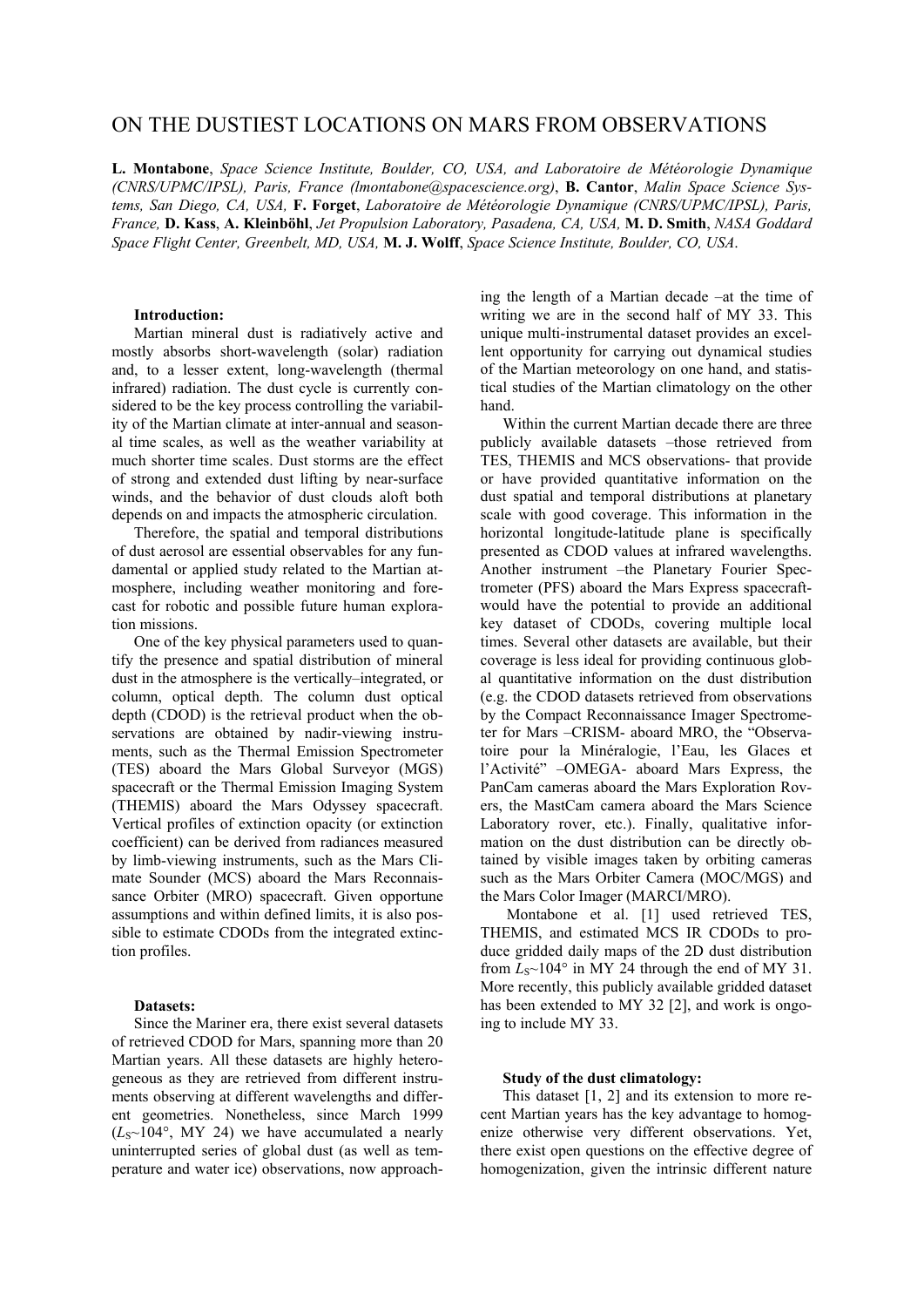# ON THE DUSTIEST LOCATIONS ON MARS FROM OBSERVATIONS

**L. Montabone**, *Space Science Institute, Boulder, CO, USA, and Laboratoire de Météorologie Dynamique (CNRS/UPMC/IPSL), Paris, France (lmontabone@spacescience.org)*, **B. Cantor**, *Malin Space Science Systems, San Diego, CA, USA,* **F. Forget**, *Laboratoire de Météorologie Dynamique (CNRS/UPMC/IPSL), Paris, France,* **D. Kass**, **A. Kleinböhl**, *Jet Propulsion Laboratory, Pasadena, CA, USA,* **M. D. Smith**, *NASA Goddard Space Flight Center, Greenbelt, MD, USA,* **M. J. Wolff**, *Space Science Institute, Boulder, CO, USA*.

## **Introduction:**

Martian mineral dust is radiatively active and mostly absorbs short-wavelength (solar) radiation and, to a lesser extent, long-wavelength (thermal infrared) radiation. The dust cycle is currently considered to be the key process controlling the variability of the Martian climate at inter-annual and seasonal time scales, as well as the weather variability at much shorter time scales. Dust storms are the effect of strong and extended dust lifting by near-surface winds, and the behavior of dust clouds aloft both depends on and impacts the atmospheric circulation.

Therefore, the spatial and temporal distributions of dust aerosol are essential observables for any fundamental or applied study related to the Martian atmosphere, including weather monitoring and forecast for robotic and possible future human exploration missions.

One of the key physical parameters used to quantify the presence and spatial distribution of mineral dust in the atmosphere is the vertically–integrated, or column, optical depth. The column dust optical depth (CDOD) is the retrieval product when the observations are obtained by nadir-viewing instruments, such as the Thermal Emission Spectrometer (TES) aboard the Mars Global Surveyor (MGS) spacecraft or the Thermal Emission Imaging System (THEMIS) aboard the Mars Odyssey spacecraft. Vertical profiles of extinction opacity (or extinction coefficient) can be derived from radiances measured by limb-viewing instruments, such as the Mars Climate Sounder (MCS) aboard the Mars Reconnaissance Orbiter (MRO) spacecraft. Given opportune assumptions and within defined limits, it is also possible to estimate CDODs from the integrated extinction profiles.

#### **Datasets:**

Since the Mariner era, there exist several datasets of retrieved CDOD for Mars, spanning more than 20 Martian years. All these datasets are highly heterogeneous as they are retrieved from different instruments observing at different wavelengths and different geometries. Nonetheless, since March 1999  $(L<sub>S</sub>~104<sup>o</sup>, MY 24)$  we have accumulated a nearly uninterrupted series of global dust (as well as temperature and water ice) observations, now approaching the length of a Martian decade –at the time of writing we are in the second half of MY 33. This unique multi-instrumental dataset provides an excellent opportunity for carrying out dynamical studies of the Martian meteorology on one hand, and statistical studies of the Martian climatology on the other hand.

Within the current Martian decade there are three publicly available datasets –those retrieved from TES, THEMIS and MCS observations- that provide or have provided quantitative information on the dust spatial and temporal distributions at planetary scale with good coverage. This information in the horizontal longitude-latitude plane is specifically presented as CDOD values at infrared wavelengths. Another instrument –the Planetary Fourier Spectrometer (PFS) aboard the Mars Express spacecraftwould have the potential to provide an additional key dataset of CDODs, covering multiple local times. Several other datasets are available, but their coverage is less ideal for providing continuous global quantitative information on the dust distribution (e.g. the CDOD datasets retrieved from observations by the Compact Reconnaissance Imager Spectrometer for Mars –CRISM- aboard MRO, the "Observatoire pour la Minéralogie, l'Eau, les Glaces et l'Activité" –OMEGA- aboard Mars Express, the PanCam cameras aboard the Mars Exploration Rovers, the MastCam camera aboard the Mars Science Laboratory rover, etc.). Finally, qualitative information on the dust distribution can be directly obtained by visible images taken by orbiting cameras such as the Mars Orbiter Camera (MOC/MGS) and the Mars Color Imager (MARCI/MRO).

Montabone et al. [1] used retrieved TES, THEMIS, and estimated MCS IR CDODs to produce gridded daily maps of the 2D dust distribution from  $L_{S}$ ~104° in MY 24 through the end of MY 31. More recently, this publicly available gridded dataset has been extended to MY 32 [2], and work is ongoing to include MY 33.

### **Study of the dust climatology:**

This dataset [1, 2] and its extension to more recent Martian years has the key advantage to homogenize otherwise very different observations. Yet, there exist open questions on the effective degree of homogenization, given the intrinsic different nature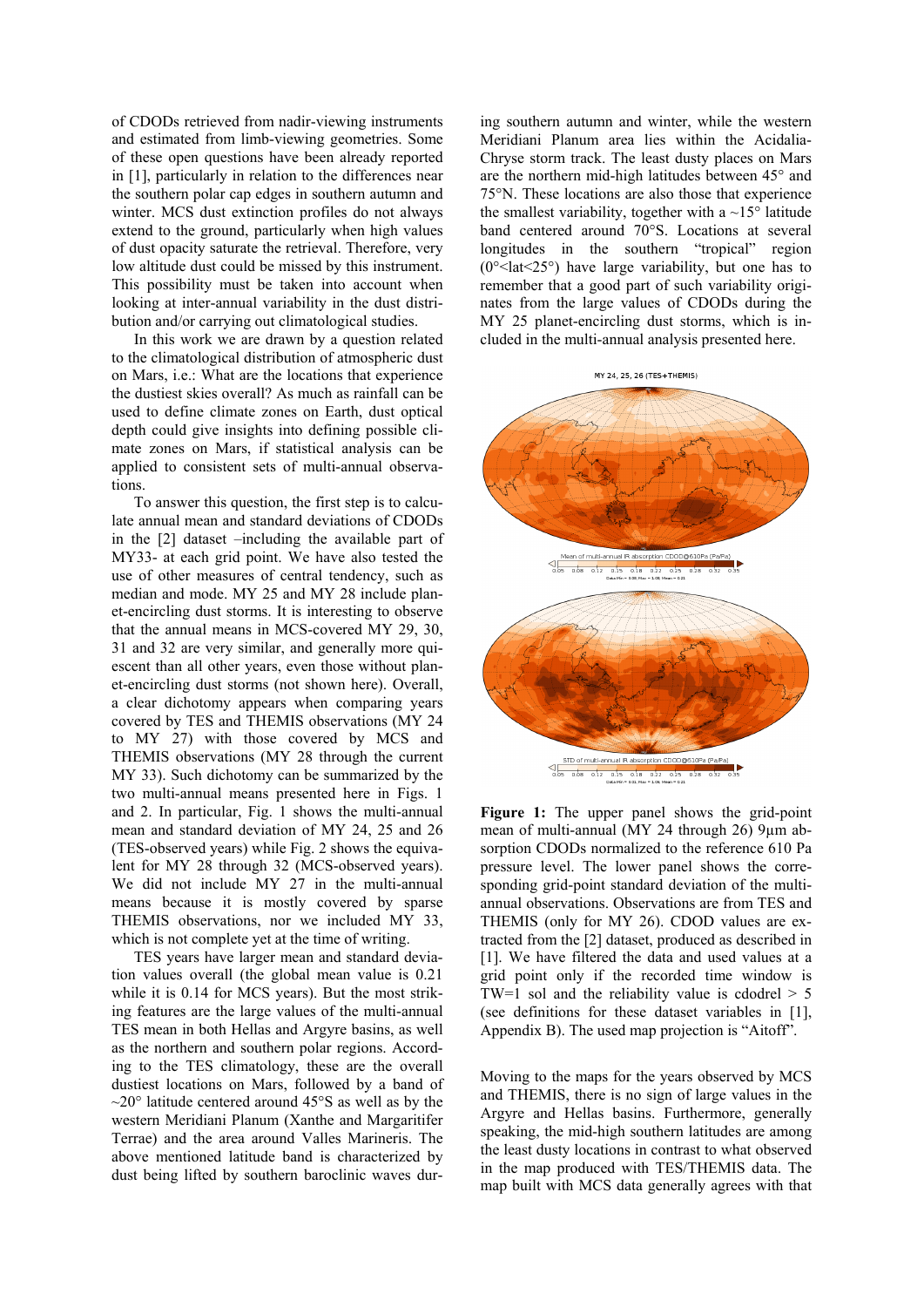of CDODs retrieved from nadir-viewing instruments and estimated from limb-viewing geometries. Some of these open questions have been already reported in [1], particularly in relation to the differences near the southern polar cap edges in southern autumn and winter. MCS dust extinction profiles do not always extend to the ground, particularly when high values of dust opacity saturate the retrieval. Therefore, very low altitude dust could be missed by this instrument. This possibility must be taken into account when looking at inter-annual variability in the dust distribution and/or carrying out climatological studies.

In this work we are drawn by a question related to the climatological distribution of atmospheric dust on Mars, i.e.: What are the locations that experience the dustiest skies overall? As much as rainfall can be used to define climate zones on Earth, dust optical depth could give insights into defining possible climate zones on Mars, if statistical analysis can be applied to consistent sets of multi-annual observations.

To answer this question, the first step is to calculate annual mean and standard deviations of CDODs in the [2] dataset –including the available part of MY33- at each grid point. We have also tested the use of other measures of central tendency, such as median and mode. MY 25 and MY 28 include planet-encircling dust storms. It is interesting to observe that the annual means in MCS-covered MY 29, 30, 31 and 32 are very similar, and generally more quiescent than all other years, even those without planet-encircling dust storms (not shown here). Overall, a clear dichotomy appears when comparing years covered by TES and THEMIS observations (MY 24 to MY 27) with those covered by MCS and THEMIS observations (MY 28 through the current MY 33). Such dichotomy can be summarized by the two multi-annual means presented here in Figs. 1 and 2. In particular, Fig. 1 shows the multi-annual mean and standard deviation of MY 24, 25 and 26 (TES-observed years) while Fig. 2 shows the equivalent for MY 28 through 32 (MCS-observed years). We did not include MY 27 in the multi-annual means because it is mostly covered by sparse THEMIS observations, nor we included MY 33, which is not complete yet at the time of writing.

TES years have larger mean and standard deviation values overall (the global mean value is 0.21 while it is 0.14 for MCS years). But the most striking features are the large values of the multi-annual TES mean in both Hellas and Argyre basins, as well as the northern and southern polar regions. According to the TES climatology, these are the overall dustiest locations on Mars, followed by a band of  $\sim$ 20° latitude centered around 45°S as well as by the western Meridiani Planum (Xanthe and Margaritifer Terrae) and the area around Valles Marineris. The above mentioned latitude band is characterized by dust being lifted by southern baroclinic waves during southern autumn and winter, while the western Meridiani Planum area lies within the Acidalia-Chryse storm track. The least dusty places on Mars are the northern mid-high latitudes between 45° and 75°N. These locations are also those that experience the smallest variability, together with a  $\sim15^{\circ}$  latitude band centered around 70°S. Locations at several longitudes in the southern "tropical" region  $(0^{\circ}$  <lat <25°) have large variability, but one has to remember that a good part of such variability originates from the large values of CDODs during the MY 25 planet-encircling dust storms, which is included in the multi-annual analysis presented here.



**Figure 1:** The upper panel shows the grid-point mean of multi-annual (MY 24 through 26) 9µm absorption CDODs normalized to the reference 610 Pa pressure level. The lower panel shows the corresponding grid-point standard deviation of the multiannual observations. Observations are from TES and THEMIS (only for MY 26). CDOD values are extracted from the [2] dataset, produced as described in [1]. We have filtered the data and used values at a grid point only if the recorded time window is TW=1 sol and the reliability value is cdodrel  $> 5$ (see definitions for these dataset variables in [1], Appendix B). The used map projection is "Aitoff".

Moving to the maps for the years observed by MCS and THEMIS, there is no sign of large values in the Argyre and Hellas basins. Furthermore, generally speaking, the mid-high southern latitudes are among the least dusty locations in contrast to what observed in the map produced with TES/THEMIS data. The map built with MCS data generally agrees with that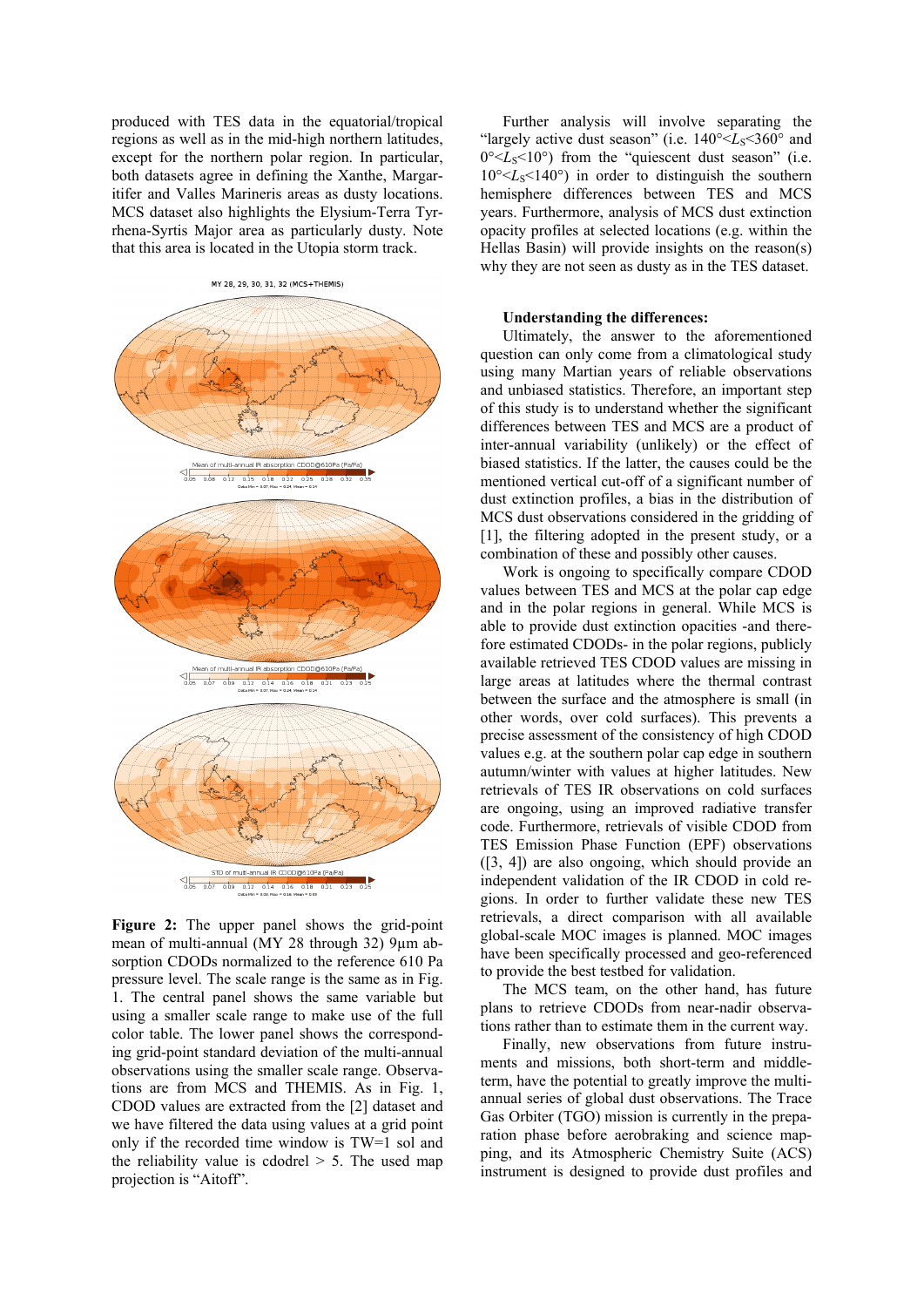produced with TES data in the equatorial/tropical regions as well as in the mid-high northern latitudes, except for the northern polar region. In particular, both datasets agree in defining the Xanthe, Margaritifer and Valles Marineris areas as dusty locations. MCS dataset also highlights the Elysium-Terra Tyrrhena-Syrtis Major area as particularly dusty. Note that this area is located in the Utopia storm track.



**Figure 2:** The upper panel shows the grid-point mean of multi-annual (MY 28 through 32) 9µm absorption CDODs normalized to the reference 610 Pa pressure level. The scale range is the same as in Fig. 1. The central panel shows the same variable but using a smaller scale range to make use of the full color table. The lower panel shows the corresponding grid-point standard deviation of the multi-annual observations using the smaller scale range. Observations are from MCS and THEMIS. As in Fig. 1, CDOD values are extracted from the [2] dataset and we have filtered the data using values at a grid point only if the recorded time window is TW=1 sol and the reliability value is cdodrel  $> 5$ . The used map projection is "Aitoff".

Further analysis will involve separating the "largely active dust season" (i.e.  $140^{\circ} < L_s < 360^{\circ}$  and 0°<Ls<10°) from the "quiescent dust season" (i.e.  $10^{\circ}$  ks<sup><140°</sup>) in order to distinguish the southern hemisphere differences between TES and MCS years. Furthermore, analysis of MCS dust extinction opacity profiles at selected locations (e.g. within the Hellas Basin) will provide insights on the reason(s) why they are not seen as dusty as in the TES dataset.

#### **Understanding the differences:**

Ultimately, the answer to the aforementioned question can only come from a climatological study using many Martian years of reliable observations and unbiased statistics. Therefore, an important step of this study is to understand whether the significant differences between TES and MCS are a product of inter-annual variability (unlikely) or the effect of biased statistics. If the latter, the causes could be the mentioned vertical cut-off of a significant number of dust extinction profiles, a bias in the distribution of MCS dust observations considered in the gridding of [1], the filtering adopted in the present study, or a combination of these and possibly other causes.

Work is ongoing to specifically compare CDOD values between TES and MCS at the polar cap edge and in the polar regions in general. While MCS is able to provide dust extinction opacities -and therefore estimated CDODs- in the polar regions, publicly available retrieved TES CDOD values are missing in large areas at latitudes where the thermal contrast between the surface and the atmosphere is small (in other words, over cold surfaces). This prevents a precise assessment of the consistency of high CDOD values e.g. at the southern polar cap edge in southern autumn/winter with values at higher latitudes. New retrievals of TES IR observations on cold surfaces are ongoing, using an improved radiative transfer code. Furthermore, retrievals of visible CDOD from TES Emission Phase Function (EPF) observations ([3, 4]) are also ongoing, which should provide an independent validation of the IR CDOD in cold regions. In order to further validate these new TES retrievals, a direct comparison with all available global-scale MOC images is planned. MOC images have been specifically processed and geo-referenced to provide the best testbed for validation.

The MCS team, on the other hand, has future plans to retrieve CDODs from near-nadir observations rather than to estimate them in the current way.

Finally, new observations from future instruments and missions, both short-term and middleterm, have the potential to greatly improve the multiannual series of global dust observations. The Trace Gas Orbiter (TGO) mission is currently in the preparation phase before aerobraking and science mapping, and its Atmospheric Chemistry Suite (ACS) instrument is designed to provide dust profiles and